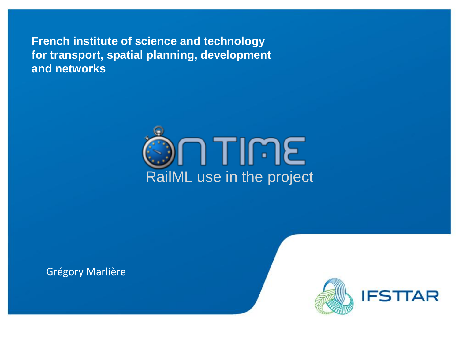**French institute of science and technology for transport, spatial planning, development and networks**



Grégory Marlière

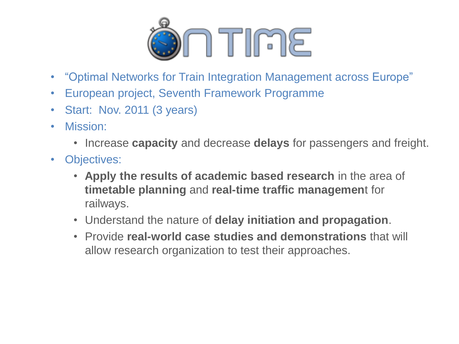

- "Optimal Networks for Train Integration Management across Europe"
- European project, Seventh Framework Programme
- Start: Nov. 2011 (3 years)
- Mission:
	- Increase **capacity** and decrease **delays** for passengers and freight.
- Objectives:
	- **Apply the results of academic based research** in the area of **timetable planning** and **real-time traffic managemen**t for railways.
	- Understand the nature of **delay initiation and propagation**.
	- Provide **real-world case studies and demonstrations** that will allow research organization to test their approaches.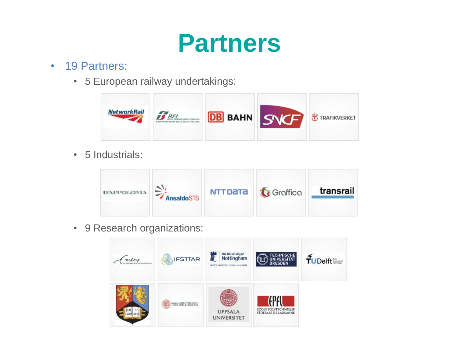#### **Partners**

#### • 19 Partners:

• 5 European railway undertakings:



• 5 Industrials:



• 9 Research organizations:

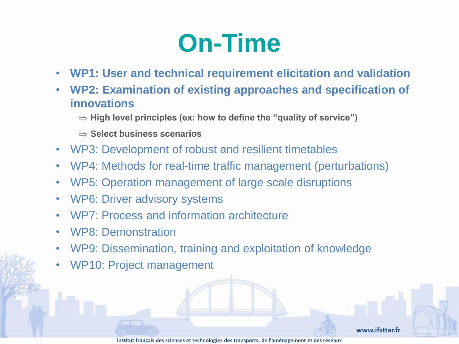- **WP1: User and technical requirement elicitation and validation**
- **WP2: Examination of existing approaches and specification of innovations**
	- $\Rightarrow$  High level principles (ex: how to define the "quality of service")
	- Select business scenarios
- WP3: Development of robust and resilient timetables
- WP4: Methods for real-time traffic management (perturbations)
- WP5: Operation management of large scale disruptions
- WP6: Driver advisory systems
- WP7: Process and information architecture
- WP8: Demonstration
- WP9: Dissemination, training and exploitation of knowledge
- WP10: Project management

**www.ifsttar.fr**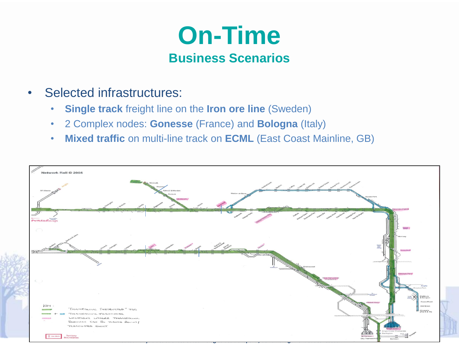

- Selected infrastructures:
	- **Single track** freight line on the **Iron ore line** (Sweden)
	- 2 Complex nodes: **Gonesse** (France) and **Bologna** (Italy)
	- **Mixed traffic** on multi-line track on **ECML** (East Coast Mainline, GB)

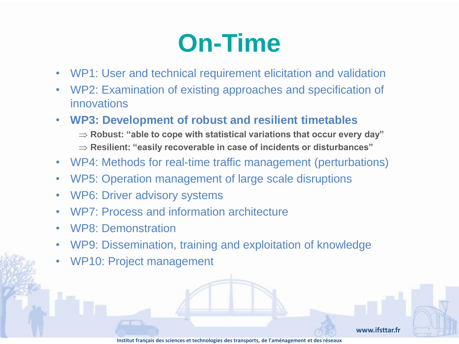- WP1: User and technical requirement elicitation and validation
- WP2: Examination of existing approaches and specification of innovations
- **WP3: Development of robust and resilient timetables**
	- $\Rightarrow$  **Robust: "able to cope with statistical variations that occur every day"**
	- **Resilient: "easily recoverable in case of incidents or disturbances"**
- WP4: Methods for real-time traffic management (perturbations)
- WP5: Operation management of large scale disruptions
- WP6: Driver advisory systems
- WP7: Process and information architecture
- WP8: Demonstration
- WP9: Dissemination, training and exploitation of knowledge
- WP10: Project management

**www.ifsttar.fr**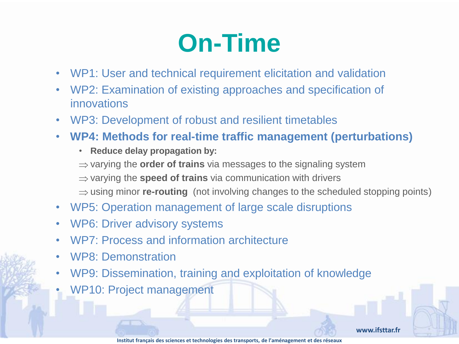- WP1: User and technical requirement elicitation and validation
- WP2: Examination of existing approaches and specification of innovations
- WP3: Development of robust and resilient timetables
- **WP4: Methods for real-time traffic management (perturbations)**
	- **Reduce delay propagation by:**
	- $\Rightarrow$  varying the **order of trains** via messages to the signaling system
	- $\Rightarrow$  varying the **speed of trains** via communication with drivers
	- $\Rightarrow$  using minor **re-routing** (not involving changes to the scheduled stopping points)
- WP5: Operation management of large scale disruptions
- WP6: Driver advisory systems
- WP7: Process and information architecture
- WP8: Demonstration
- WP9: Dissemination, training and exploitation of knowledge
- WP10: Project management

**www.ifsttar.fr**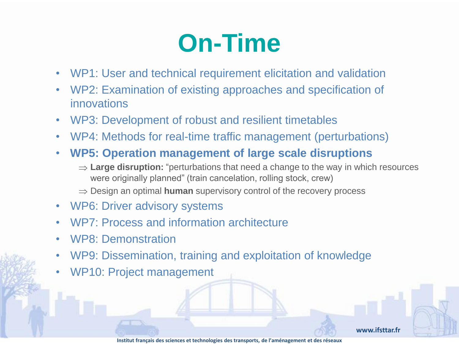- WP1: User and technical requirement elicitation and validation
- WP2: Examination of existing approaches and specification of innovations
- WP3: Development of robust and resilient timetables
- WP4: Methods for real-time traffic management (perturbations)
- **WP5: Operation management of large scale disruptions**
	- ⇒ **Large disruption:** "perturbations that need a change to the way in which resources were originally planned" (train cancelation, rolling stock, crew)
	- $\Rightarrow$  Design an optimal **human** supervisory control of the recovery process
- WP6: Driver advisory systems
- WP7: Process and information architecture
- WP8: Demonstration
- WP9: Dissemination, training and exploitation of knowledge
- WP10: Project management

**www.ifsttar.fr**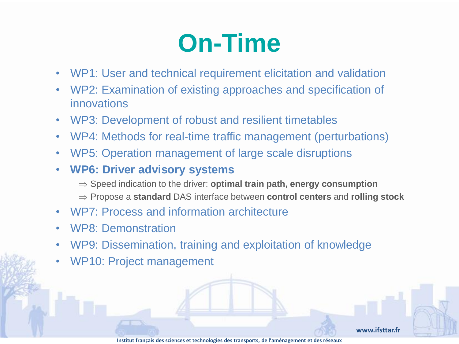- WP1: User and technical requirement elicitation and validation
- WP2: Examination of existing approaches and specification of innovations
- WP3: Development of robust and resilient timetables
- WP4: Methods for real-time traffic management (perturbations)
- WP5: Operation management of large scale disruptions
- **WP6: Driver advisory systems** 
	- $\Rightarrow$  Speed indication to the driver: **optimal train path, energy consumption**
	- Propose a **standard** DAS interface between **control centers** and **rolling stock**
- WP7: Process and information architecture
- WP8: Demonstration
- WP9: Dissemination, training and exploitation of knowledge
- WP10: Project management

**www.ifsttar.fr**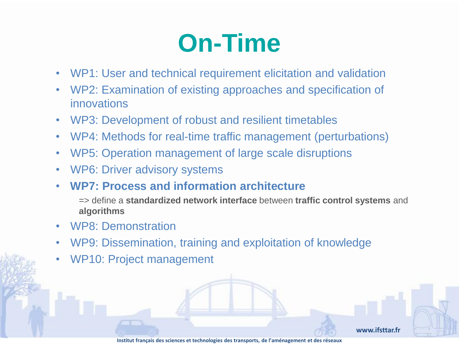- WP1: User and technical requirement elicitation and validation
- WP2: Examination of existing approaches and specification of innovations
- WP3: Development of robust and resilient timetables
- WP4: Methods for real-time traffic management (perturbations)
- WP5: Operation management of large scale disruptions
- WP6: Driver advisory systems
- **WP7: Process and information architecture**

=> define a **standardized network interface** between **traffic control systems** and **algorithms**

- WP8: Demonstration
- WP9: Dissemination, training and exploitation of knowledge
- WP10: Project management

**www.ifsttar.fr**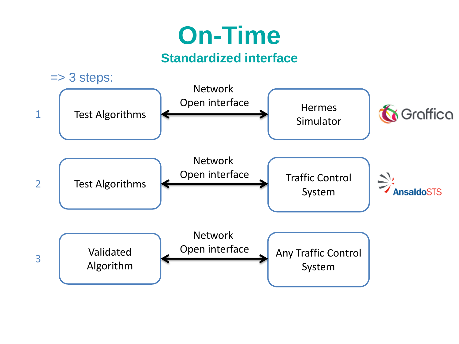#### **Standardized interface**

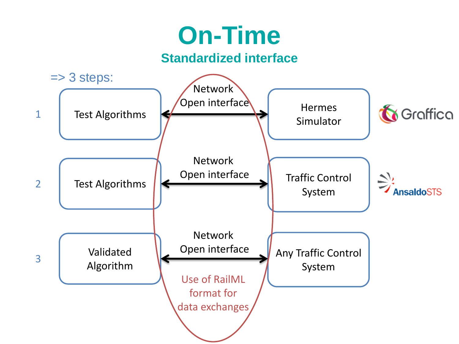#### **Standardized interface**

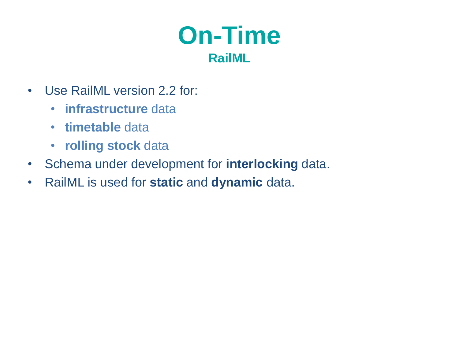

- Use RailML version 2.2 for:
	- **infrastructure** data
	- **timetable** data
	- **rolling stock** data
- Schema under development for **interlocking** data.
- RailML is used for **static** and **dynamic** data.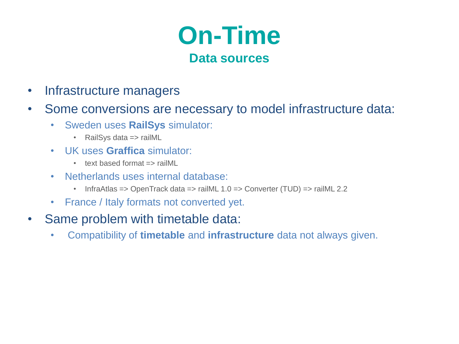

- Infrastructure managers
- Some conversions are necessary to model infrastructure data:
	- Sweden uses **RailSys** simulator:
		- RailSys data => railML
	- UK uses **Graffica** simulator:
		- text based format => railML
	- Netherlands uses internal database:
		- InfraAtlas => OpenTrack data => railML 1.0 => Converter (TUD) => railML 2.2
	- France / Italy formats not converted yet.
- Same problem with timetable data:
	- Compatibility of **timetable** and **infrastructure** data not always given.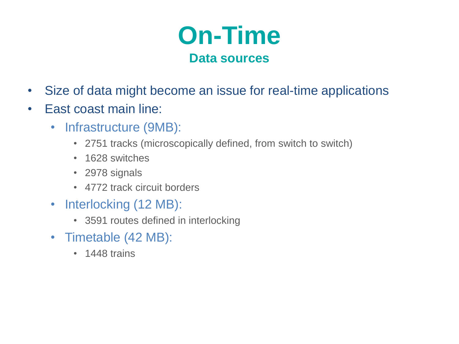

- Size of data might become an issue for real-time applications
- East coast main line:
	- Infrastructure (9MB):
		- 2751 tracks (microscopically defined, from switch to switch)
		- 1628 switches
		- 2978 signals
		- 4772 track circuit borders
	- Interlocking (12 MB):
		- 3591 routes defined in interlocking
	- Timetable (42 MB):
		- 1448 trains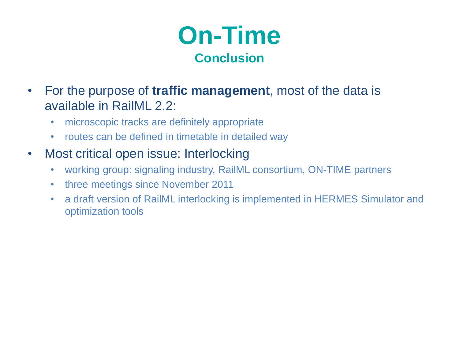

- For the purpose of **traffic management**, most of the data is available in RailML 2.2:
	- microscopic tracks are definitely appropriate
	- routes can be defined in timetable in detailed way
- Most critical open issue: Interlocking
	- working group: signaling industry, RailML consortium, ON-TIME partners
	- three meetings since November 2011
	- a draft version of RailML interlocking is implemented in HERMES Simulator and optimization tools